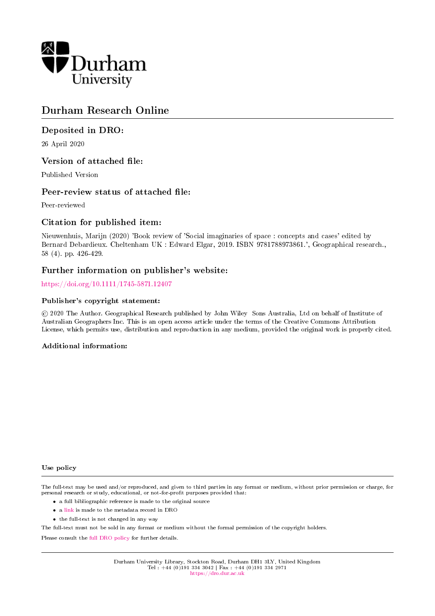

## Durham Research Online

## Deposited in DRO:

26 April 2020

## Version of attached file:

Published Version

## Peer-review status of attached file:

Peer-reviewed

## Citation for published item:

Nieuwenhuis, Marijn (2020) 'Book review of 'Social imaginaries of space : concepts and cases' edited by Bernard Debardieux. Cheltenham UK : Edward Elgar, 2019. ISBN 9781788973861.', Geographical research., 58 (4). pp. 426-429.

## Further information on publisher's website:

<https://doi.org/10.1111/1745-5871.12407>

#### Publisher's copyright statement:

 c 2020 The Author. Geographical Research published by John Wiley Sons Australia, Ltd on behalf of Institute of Australian Geographers Inc. This is an open access article under the terms of the Creative Commons Attribution License, which permits use, distribution and reproduction in any medium, provided the original work is properly cited.

#### Additional information:

#### Use policy

The full-text may be used and/or reproduced, and given to third parties in any format or medium, without prior permission or charge, for personal research or study, educational, or not-for-profit purposes provided that:

- a full bibliographic reference is made to the original source
- a [link](http://dro.dur.ac.uk/30689/) is made to the metadata record in DRO
- the full-text is not changed in any way

The full-text must not be sold in any format or medium without the formal permission of the copyright holders.

Please consult the [full DRO policy](https://dro.dur.ac.uk/policies/usepolicy.pdf) for further details.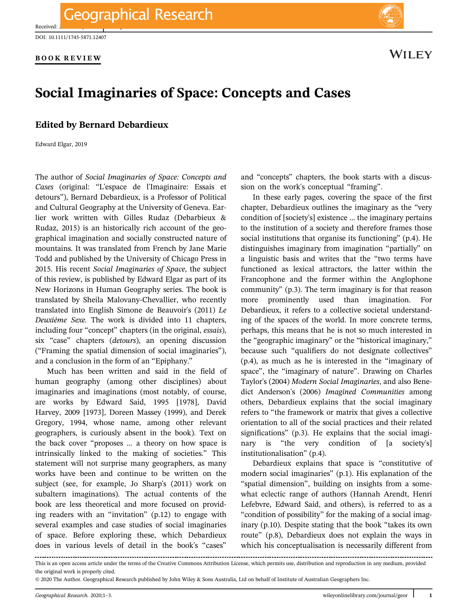Received:

**BOOK REVIEW**



# **Social Imaginaries of Space: Concepts and Cases**

### **Edited by Bernard Debardieux**

Edward Elgar, 2019

The author of *Social Imaginaries of Space: Concepts and Cases* (original: "L'espace de l'Imaginaire: Essais et detours"), Bernard Debardieux, is a Professor of Political and Cultural Geography at the University of Geneva. Earlier work written with Gilles Rudaz (Debarbieux & Rudaz, 2015) is an historically rich account of the geographical imagination and socially constructed nature of mountains. It was translated from French by Jane Marie Todd and published by the University of Chicago Press in 2015. His recent *Social Imaginaries of Space*, the subject of this review, is published by Edward Elgar as part of its New Horizons in Human Geography series. The book is translated by Sheila Malovany-Chevallier, who recently translated into English Simone de Beauvoir's (2011) *Le Deuxième Sexe.* The work is divided into 11 chapters, including four "concept" chapters (in the original, *essais*), six "case" chapters (*detours*), an opening discussion ("Framing the spatial dimension of social imaginaries"), and a conclusion in the form of an "Epiphany."

Much has been written and said in the field of human geography (among other disciplines) about imaginaries and imaginations (most notably, of course, are works by Edward Said, 1995 [1978], David Harvey, 2009 [1973], Doreen Massey (1999), and Derek Gregory, 1994, whose name, among other relevant geographers, is curiously absent in the book). Text on the back cover "proposes … a theory on how space is intrinsically linked to the making of societies." This statement will not surprise many geographers, as many works have been and continue to be written on the subject (see, for example, Jo Sharp's (2011) work on subaltern imaginations). The actual contents of the book are less theoretical and more focused on providing readers with an "invitation" (p.12) to engage with several examples and case studies of social imaginaries of space. Before exploring these, which Debardieux does in various levels of detail in the book's "cases"

and "concepts" chapters, the book starts with a discussion on the work's conceptual "framing".

In these early pages, covering the space of the first chapter, Debardieux outlines the imaginary as the "very condition of [society's] existence … the imaginary pertains to the institution of a society and therefore frames those social institutions that organise its functioning" (p.4). He distinguishes imaginary from imagination "partially" on a linguistic basis and writes that the "two terms have functioned as lexical attractors, the latter within the Francophone and the former within the Anglophone community" (p.3). The term imaginary is for that reason more prominently used than imagination. For Debardieux, it refers to a collective societal understanding of the spaces of the world. In more concrete terms, perhaps, this means that he is not so much interested in the "geographic imaginary" or the "historical imaginary," because such "qualifiers do not designate collectives" (p.4), as much as he is interested in the "imaginary of space", the "imaginary of nature". Drawing on Charles Taylor's (2004) *Modern Social Imaginaries*, and also Benedict Anderson's (2006) *Imagined Communities* among others, Debardieux explains that the social imaginary refers to "the framework or matrix that gives a collective orientation to all of the social practices and their related significations" (p.3). He explains that the social imaginary is "the very condition of [a society's] institutionalisation" (p.4).

Debardieux explains that space is "constitutive of modern social imaginaries" (p.1). His explanation of the "spatial dimension", building on insights from a somewhat eclectic range of authors (Hannah Arendt, Henri Lefebvre, Edward Said, and others), is referred to as a "condition of possibility" for the making of a social imaginary (p.10). Despite stating that the book "takes its own route" (p.8), Debardieux does not explain the ways in which his conceptualisation is necessarily different from

This is an open access article under the terms of the [Creative Commons Attribution](http://creativecommons.org/licenses/by/4.0/) License, which permits use, distribution and reproduction in any medium, provided the original work is properly cited.

<sup>© 2020</sup> The Author. Geographical Research published by John Wiley & Sons Australia, Ltd on behalf of Institute of Australian Geographers Inc.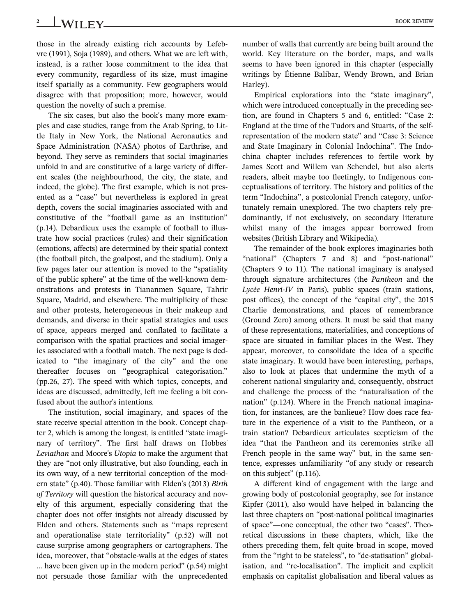# **2** BOOK REVIEW

those in the already existing rich accounts by Lefebvre (1991), Soja (1989), and others. What we are left with, instead, is a rather loose commitment to the idea that every community, regardless of its size, must imagine itself spatially as a community. Few geographers would disagree with that proposition; more, however, would question the novelty of such a premise.

The six cases, but also the book's many more examples and case studies, range from the Arab Spring, to Little Italy in New York, the National Aeronautics and Space Administration (NASA) photos of Earthrise, and beyond. They serve as reminders that social imaginaries unfold in and are constitutive of a large variety of different scales (the neighbourhood, the city, the state, and indeed, the globe). The first example, which is not presented as a "case" but nevertheless is explored in great depth, covers the social imaginaries associated with and constitutive of the "football game as an institution" (p.14). Debardieux uses the example of football to illustrate how social practices (rules) and their signification (emotions, affects) are determined by their spatial context (the football pitch, the goalpost, and the stadium). Only a few pages later our attention is moved to the "spatiality of the public sphere" at the time of the well-known demonstrations and protests in Tiananmen Square, Tahrir Square, Madrid, and elsewhere. The multiplicity of these and other protests, heterogeneous in their makeup and demands, and diverse in their spatial strategies and uses of space, appears merged and conflated to facilitate a comparison with the spatial practices and social imageries associated with a football match. The next page is dedicated to "the imaginary of the city" and the one thereafter focuses on "geographical categorisation." (pp.26, 27). The speed with which topics, concepts, and ideas are discussed, admittedly, left me feeling a bit confused about the author's intentions.

The institution, social imaginary, and spaces of the state receive special attention in the book. Concept chapter 2, which is among the longest, is entitled "state imaginary of territory". The first half draws on Hobbes' *Leviathan* and Moore's *Utopia* to make the argument that they are "not only illustrative, but also founding, each in its own way, of a new territorial conception of the modern state" (p.40). Those familiar with Elden's (2013) *Birth of Territory* will question the historical accuracy and novelty of this argument, especially considering that the chapter does not offer insights not already discussed by Elden and others. Statements such as "maps represent and operationalise state territoriality" (p.52) will not cause surprise among geographers or cartographers. The idea, moreover, that "obstacle-walls at the edges of states … have been given up in the modern period" (p.54) might not persuade those familiar with the unprecedented number of walls that currently are being built around the world. Key literature on the border, maps, and walls seems to have been ignored in this chapter (especially writings by Étienne Balibar, Wendy Brown, and Brian Harley).

Empirical explorations into the "state imaginary", which were introduced conceptually in the preceding section, are found in Chapters 5 and 6, entitled: "Case 2: England at the time of the Tudors and Stuarts, of the selfrepresentation of the modern state" and "Case 3: Science and State Imaginary in Colonial Indochina". The Indochina chapter includes references to fertile work by James Scott and Willem van Schendel, but also alerts readers, albeit maybe too fleetingly, to Indigenous conceptualisations of territory. The history and politics of the term "Indochina", a postcolonial French category, unfortunately remain unexplored. The two chapters rely predominantly, if not exclusively, on secondary literature whilst many of the images appear borrowed from websites (British Library and Wikipedia).

The remainder of the book explores imaginaries both "national" (Chapters 7 and 8) and "post-national" (Chapters 9 to 11). The national imaginary is analysed through signature architectures (the *Pantheon* and the *Lycée Henri-IV* in Paris), public spaces (train stations, post offices), the concept of the "capital city", the 2015 Charlie demonstrations, and places of remembrance (Ground Zero) among others. It must be said that many of these representations, materialities, and conceptions of space are situated in familiar places in the West. They appear, moreover, to consolidate the idea of a specific state imaginary. It would have been interesting, perhaps, also to look at places that undermine the myth of a coherent national singularity and, consequently, obstruct and challenge the process of the "naturalisation of the nation" (p.124). Where in the French national imagination, for instances, are the banlieue? How does race feature in the experience of a visit to the Pantheon, or a train station? Debardieux articulates scepticism of the idea "that the Pantheon and its ceremonies strike all French people in the same way" but, in the same sentence, expresses unfamiliarity "of any study or research on this subject" (p.116).

A different kind of engagement with the large and growing body of postcolonial geography, see for instance Kipfer (2011), also would have helped in balancing the last three chapters on "post-national political imaginaries of space"—one conceptual, the other two "cases". Theoretical discussions in these chapters, which, like the others preceding them, felt quite broad in scope, moved from the "right to be stateless", to "de-statisation" globalisation, and "re-localisation". The implicit and explicit emphasis on capitalist globalisation and liberal values as